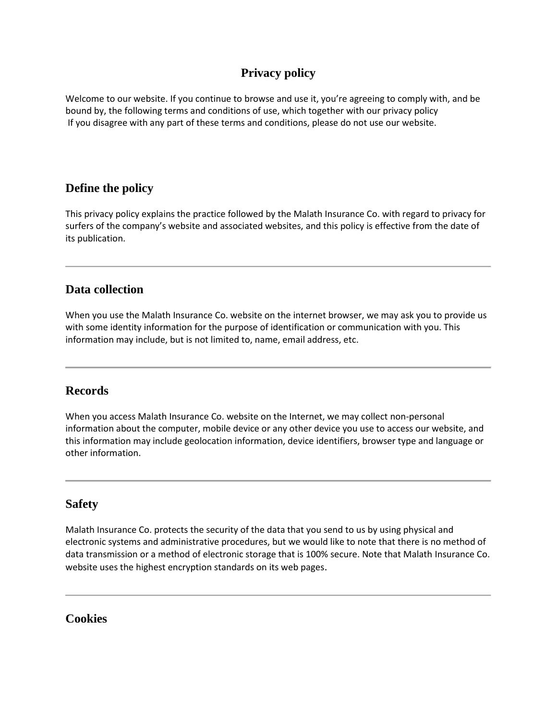# **Privacy policy**

Welcome to our website. If you continue to browse and use it, you're agreeing to comply with, and be bound by, the following terms and conditions of use, which together with our privacy policy If you disagree with any part of these terms and conditions, please do not use our website.

# **Define the policy**

This privacy policy explains the practice followed by the Malath Insurance Co. with regard to privacy for surfers of the company's website and associated websites, and this policy is effective from the date of its publication.

## **Data collection**

When you use the Malath Insurance Co. website on the internet browser, we may ask you to provide us with some identity information for the purpose of identification or communication with you. This information may include, but is not limited to, name, email address, etc.

## **Records**

When you access Malath Insurance Co. website on the Internet, we may collect non-personal information about the computer, mobile device or any other device you use to access our website, and this information may include geolocation information, device identifiers, browser type and language or other information.

## **Safety**

Malath Insurance Co. protects the security of the data that you send to us by using physical and electronic systems and administrative procedures, but we would like to note that there is no method of data transmission or a method of electronic storage that is 100% secure. Note that Malath Insurance Co. website uses the highest encryption standards on its web pages.

**Cookies**